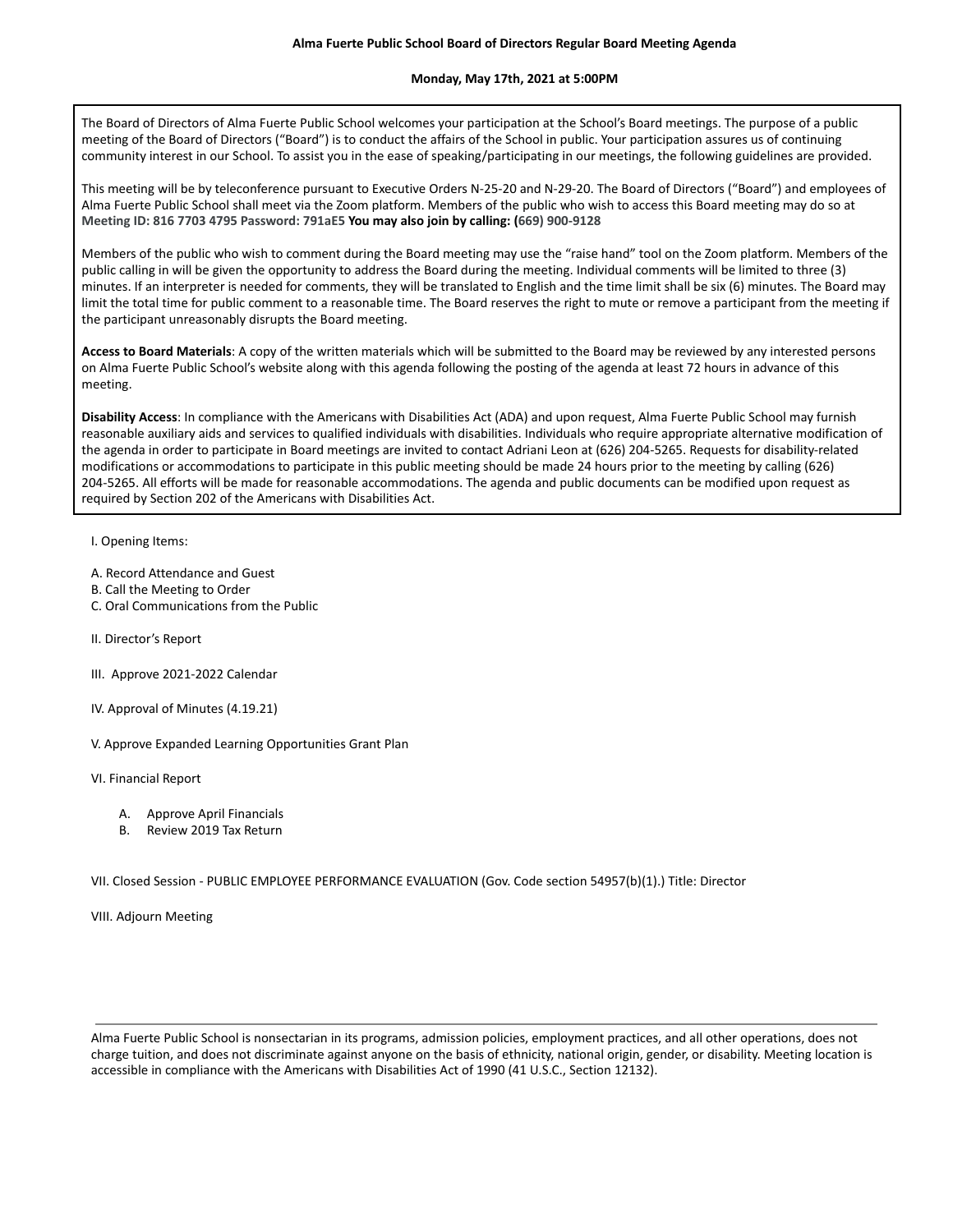## **Monday, May 17th, 2021 at 5:00PM**

The Board of Directors of Alma Fuerte Public School welcomes your participation at the School's Board meetings. The purpose of a public meeting of the Board of Directors ("Board") is to conduct the affairs of the School in public. Your participation assures us of continuing community interest in our School. To assist you in the ease of speaking/participating in our meetings, the following guidelines are provided.

This meeting will be by teleconference pursuant to Executive Orders N-25-20 and N-29-20. The Board of Directors ("Board") and employees of Alma Fuerte Public School shall meet via the Zoom platform. Members of the public who wish to access this Board meeting may do so at **Meeting ID: 816 7703 4795 Password: 791aE5 You may also join by calling: (669) 900-9128**

Members of the public who wish to comment during the Board meeting may use the "raise hand" tool on the Zoom platform. Members of the public calling in will be given the opportunity to address the Board during the meeting. Individual comments will be limited to three (3) minutes. If an interpreter is needed for comments, they will be translated to English and the time limit shall be six (6) minutes. The Board may limit the total time for public comment to a reasonable time. The Board reserves the right to mute or remove a participant from the meeting if the participant unreasonably disrupts the Board meeting.

**Access to Board Materials**: A copy of the written materials which will be submitted to the Board may be reviewed by any interested persons on Alma Fuerte Public School's website along with this agenda following the posting of the agenda at least 72 hours in advance of this meeting.

**Disability Access**: In compliance with the Americans with Disabilities Act (ADA) and upon request, Alma Fuerte Public School may furnish reasonable auxiliary aids and services to qualified individuals with disabilities. Individuals who require appropriate alternative modification of the agenda in order to participate in Board meetings are invited to contact Adriani Leon at (626) 204-5265. Requests for disability-related modifications or accommodations to participate in this public meeting should be made 24 hours prior to the meeting by calling (626) 204-5265. All efforts will be made for reasonable accommodations. The agenda and public documents can be modified upon request as required by Section 202 of the Americans with Disabilities Act.

## I. Opening Items:

- A. Record Attendance and Guest
- B. Call the Meeting to Order
- C. Oral Communications from the Public
- II. Director's Report
- III. Approve 2021-2022 Calendar
- IV. Approval of Minutes (4.19.21)
- V. Approve Expanded Learning Opportunities Grant Plan
- VI. Financial Report
	- A. Approve April Financials
	- B. Review 2019 Tax Return

VII. Closed Session - PUBLIC EMPLOYEE PERFORMANCE EVALUATION (Gov. Code section 54957(b)(1).) Title: Director

VIII. Adjourn Meeting

Alma Fuerte Public School is nonsectarian in its programs, admission policies, employment practices, and all other operations, does not charge tuition, and does not discriminate against anyone on the basis of ethnicity, national origin, gender, or disability. Meeting location is accessible in compliance with the Americans with Disabilities Act of 1990 (41 U.S.C., Section 12132).